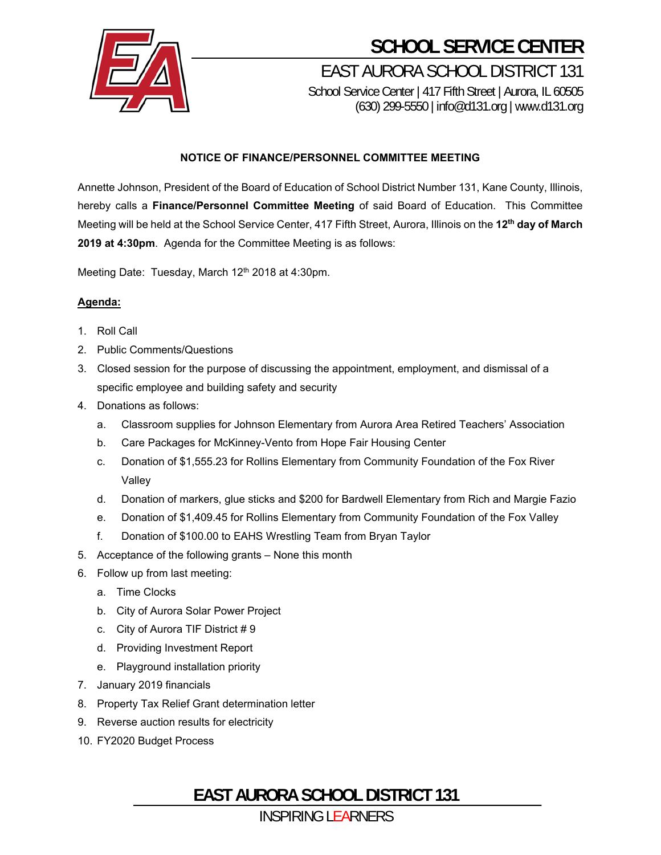

## **SCHOOL SERVICE CENTER**

EAST AURORA SCHOOL DISTRICT 131 School Service Center | 417 Fifth Street | Aurora, IL 60505 (630) 299-5550 | info@d131.org | www.d131.org

## **NOTICE OF FINANCE/PERSONNEL COMMITTEE MEETING**

Annette Johnson, President of the Board of Education of School District Number 131, Kane County, Illinois, hereby calls a **Finance/Personnel Committee Meeting** of said Board of Education. This Committee Meeting will be held at the School Service Center, 417 Fifth Street, Aurora, Illinois on the **12th day of March 2019 at 4:30pm**. Agenda for the Committee Meeting is as follows:

Meeting Date: Tuesday, March 12<sup>th</sup> 2018 at 4:30pm.

## **Agenda:**

- 1. Roll Call
- 2. Public Comments/Questions
- 3. Closed session for the purpose of discussing the appointment, employment, and dismissal of a specific employee and building safety and security
- 4. Donations as follows:
	- a. Classroom supplies for Johnson Elementary from Aurora Area Retired Teachers' Association
	- b. Care Packages for McKinney-Vento from Hope Fair Housing Center
	- c. Donation of \$1,555.23 for Rollins Elementary from Community Foundation of the Fox River Valley
	- d. Donation of markers, glue sticks and \$200 for Bardwell Elementary from Rich and Margie Fazio
	- e. Donation of \$1,409.45 for Rollins Elementary from Community Foundation of the Fox Valley
	- f. Donation of \$100.00 to EAHS Wrestling Team from Bryan Taylor
- 5. Acceptance of the following grants None this month
- 6. Follow up from last meeting:
	- a. Time Clocks
	- b. City of Aurora Solar Power Project
	- c. City of Aurora TIF District # 9
	- d. Providing Investment Report
	- e. Playground installation priority
- 7. January 2019 financials
- 8. Property Tax Relief Grant determination letter
- 9. Reverse auction results for electricity
- 10. FY2020 Budget Process

**EAST AURORA SCHOOL DISTRICT 131**